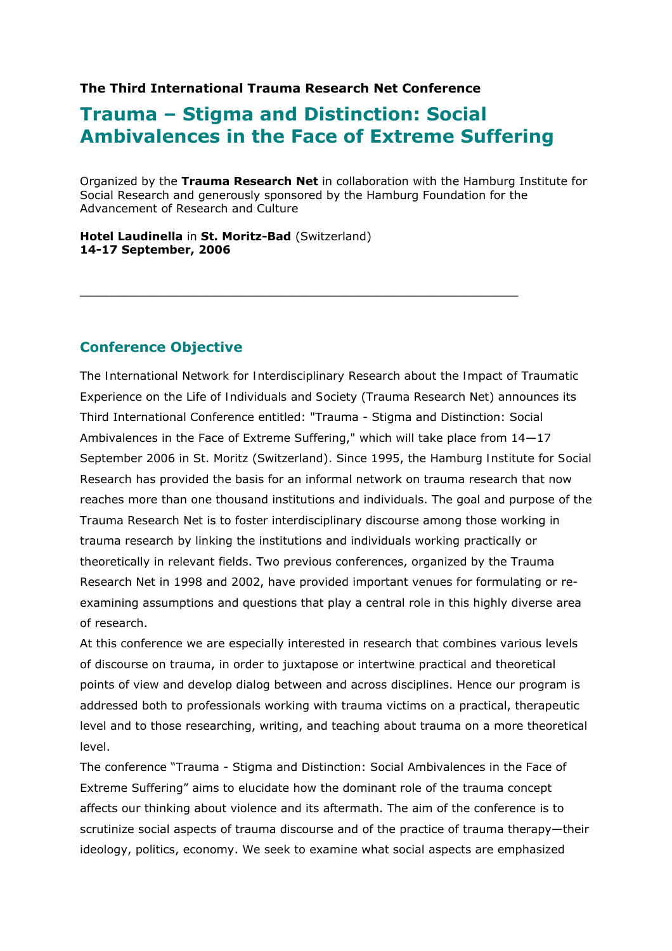## **The Third International Trauma Research Net Conference**

# **Trauma – Stigma and Distinction: Social Ambivalences in the Face of Extreme Suffering**

 $\_$  , and the state of the state of the state of the state of the state of the state of the state of the state of the state of the state of the state of the state of the state of the state of the state of the state of the

Organized by the **Trauma Research Net** in collaboration with the Hamburg Institute for Social Research and generously sponsored by the Hamburg Foundation for the Advancement of Research and Culture

**Hotel Laudinella** in **St. Moritz-Bad** (Switzerland) **14-17 September, 2006**

## **Conference Objective**

The *International Network for Interdisciplinary Research about the Impact of Traumatic Experience on the Life of Individuals and Society* (*Trauma Research Net*) announces its Third International Conference entitled: "Trauma - Stigma and Distinction: Social Ambivalences in the Face of Extreme Suffering," which will take place from 14—17 September 2006 in St. Moritz (Switzerland). Since 1995, the *Hamburg Institute for Social Research* has provided the basis for an informal network on trauma research that now reaches more than one thousand institutions and individuals. The goal and purpose of the *Trauma Research Net* is to foster interdisciplinary discourse among those working in trauma research by linking the institutions and individuals working practically or theoretically in relevant fields. Two previous conferences, organized by the *Trauma Research Net* in 1998 and 2002, have provided important venues for formulating or reexamining assumptions and questions that play a central role in this highly diverse area of research.

At this conference we are especially interested in research that combines various levels of discourse on trauma, in order to juxtapose or intertwine practical and theoretical points of view and develop dialog between and across disciplines. Hence our program is addressed both to professionals working with trauma victims on a practical, therapeutic level and to those researching, writing, and teaching about trauma on a more theoretical level.

The conference "Trauma - Stigma and Distinction: Social Ambivalences in the Face of Extreme Suffering" aims to elucidate how the dominant role of the trauma concept affects our thinking about violence and its aftermath. The aim of the conference is to scrutinize social aspects of trauma discourse and of the practice of trauma therapy—their ideology, politics, economy. We seek to examine what social aspects are emphasized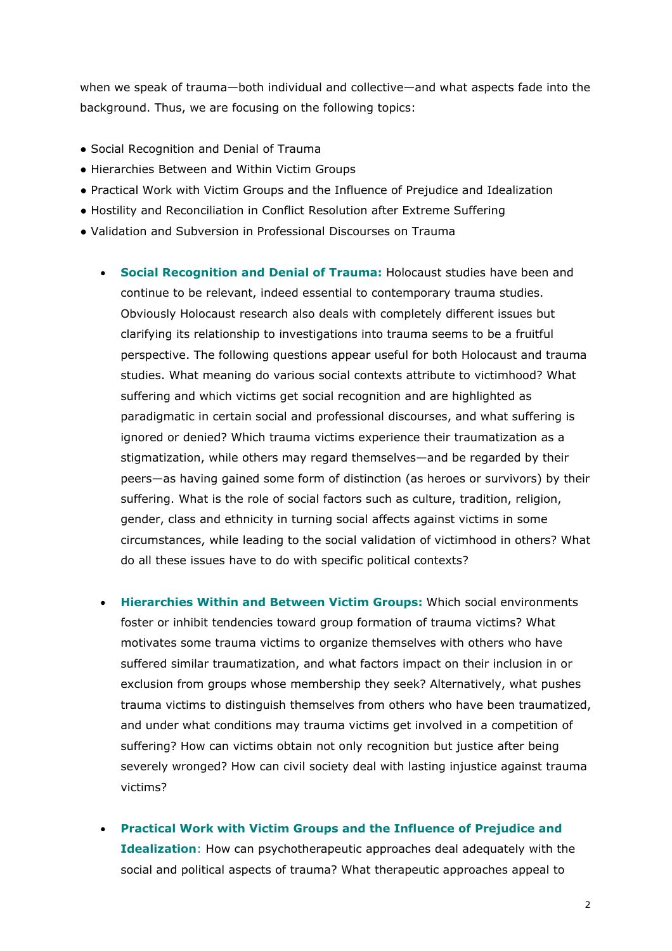when we speak of trauma—both individual and collective—and what aspects fade into the background. Thus, we are focusing on the following topics:

- Social Recognition and Denial of Trauma
- Hierarchies Between and Within Victim Groups
- Practical Work with Victim Groups and the Influence of Prejudice and Idealization
- Hostility and Reconciliation in Conflict Resolution after Extreme Suffering
- Validation and Subversion in Professional Discourses on Trauma
	- **Social Recognition and Denial of Trauma:** Holocaust studies have been and continue to be relevant, indeed essential to contemporary trauma studies. Obviously Holocaust research also deals with completely different issues but clarifying its relationship to investigations into trauma seems to be a fruitful perspective. The following questions appear useful for both Holocaust and trauma studies. What meaning do various social contexts attribute to victimhood? What suffering and which victims get social recognition and are highlighted as paradigmatic in certain social and professional discourses, and what suffering is ignored or denied? Which trauma victims experience their traumatization as a stigmatization, while others may regard themselves—and be regarded by their peers—as having gained some form of distinction (as heroes or survivors) by their suffering. What is the role of social factors such as culture, tradition, religion, gender, class and ethnicity in turning social affects against victims in some circumstances, while leading to the social validation of victimhood in others? What do all these issues have to do with specific political contexts?
	- **Hierarchies Within and Between Victim Groups:** Which social environments foster or inhibit tendencies toward group formation of trauma victims? What motivates some trauma victims to organize themselves with others who have suffered similar traumatization, and what factors impact on their inclusion in or exclusion from groups whose membership they seek? Alternatively, what pushes trauma victims to distinguish themselves from others who have been traumatized, and under what conditions may trauma victims get involved in a competition of suffering? How can victims obtain not only recognition but justice after being severely wronged? How can civil society deal with lasting injustice against trauma victims?
	- **Practical Work with Victim Groups and the Influence of Prejudice and Idealization**: How can psychotherapeutic approaches deal adequately with the social and political aspects of trauma? What therapeutic approaches appeal to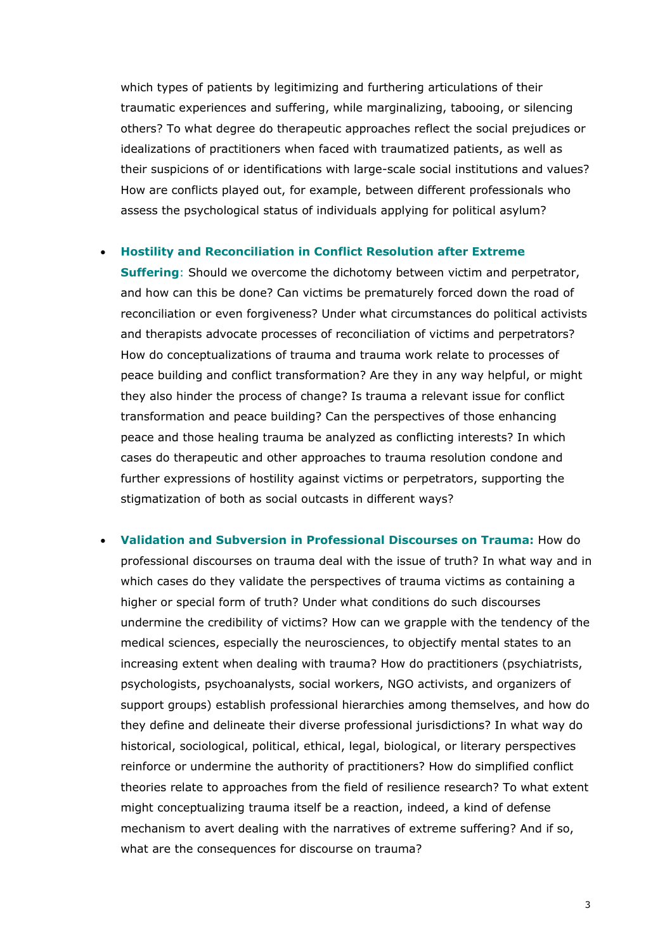which types of patients by legitimizing and furthering articulations of their traumatic experiences and suffering, while marginalizing, tabooing, or silencing others? To what degree do therapeutic approaches reflect the social prejudices or idealizations of practitioners when faced with traumatized patients, as well as their suspicions of or identifications with large-scale social institutions and values? How are conflicts played out, for example, between different professionals who assess the psychological status of individuals applying for political asylum?

#### • **Hostility and Reconciliation in Conflict Resolution after Extreme**

**Suffering**: Should we overcome the dichotomy between victim and perpetrator, and how can this be done? Can victims be prematurely forced down the road of reconciliation or even forgiveness? Under what circumstances do political activists and therapists advocate processes of reconciliation of victims and perpetrators? How do conceptualizations of trauma and trauma work relate to processes of peace building and conflict transformation? Are they in any way helpful, or might they also hinder the process of change? Is trauma a relevant issue for conflict transformation and peace building? Can the perspectives of those enhancing peace and those healing trauma be analyzed as conflicting interests? In which cases do therapeutic and other approaches to trauma resolution condone and further expressions of hostility against victims or perpetrators, supporting the stigmatization of both as social outcasts in different ways?

• **Validation and Subversion in Professional Discourses on Trauma:** How do professional discourses on trauma deal with the issue of truth? In what way and in which cases do they validate the perspectives of trauma victims as containing a higher or special form of truth? Under what conditions do such discourses undermine the credibility of victims? How can we grapple with the tendency of the medical sciences, especially the neurosciences, to objectify mental states to an increasing extent when dealing with trauma? How do practitioners (psychiatrists, psychologists, psychoanalysts, social workers, NGO activists, and organizers of support groups) establish professional hierarchies among themselves, and how do they define and delineate their diverse professional jurisdictions? In what way do historical, sociological, political, ethical, legal, biological, or literary perspectives reinforce or undermine the authority of practitioners? How do simplified conflict theories relate to approaches from the field of resilience research? To what extent might conceptualizing trauma itself be a reaction, indeed, a kind of defense mechanism to avert dealing with the narratives of extreme suffering? And if so, what are the consequences for discourse on trauma?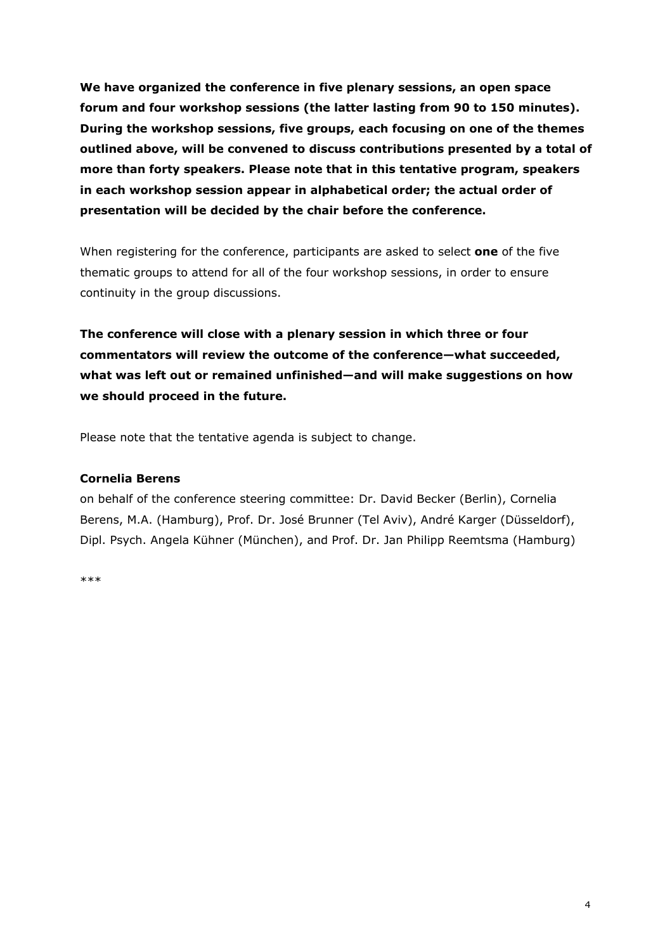**We have organized the conference in five plenary sessions, an open space forum and four workshop sessions (the latter lasting from 90 to 150 minutes). During the workshop sessions, five groups, each focusing on one of the themes outlined above, will be convened to discuss contributions presented by a total of more than forty speakers. Please note that in this tentative program, speakers in each workshop session appear in alphabetical order; the actual order of presentation will be decided by the chair before the conference.** 

When registering for the conference, participants are asked to select **one** of the five thematic groups to attend for all of the four workshop sessions, in order to ensure continuity in the group discussions.

**The conference will close with a plenary session in which three or four commentators will review the outcome of the conference—what succeeded, what was left out or remained unfinished—and will make suggestions on how we should proceed in the future.** 

Please note that the tentative agenda is subject to change.

## **Cornelia Berens**

on behalf of the conference steering committee: Dr. David Becker (Berlin), Cornelia Berens, M.A. (Hamburg), Prof. Dr. José Brunner (Tel Aviv), André Karger (Düsseldorf), Dipl. Psych. Angela Kühner (München), and Prof. Dr. Jan Philipp Reemtsma (Hamburg)

\*\*\*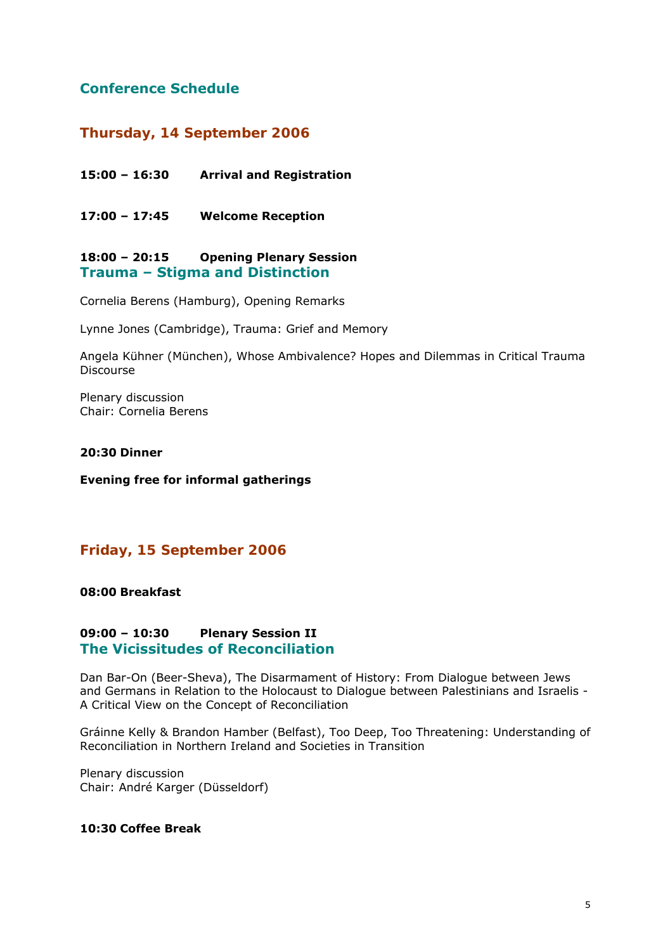## **Conference Schedule**

## *Thursday, 14 September 2006*

**15:00 – 16:30 Arrival and Registration** 

**17:00 – 17:45 Welcome Reception** 

## **18:00 – 20:15 Opening Plenary Session Trauma – Stigma and Distinction**

Cornelia Berens (Hamburg), Opening Remarks

Lynne Jones (Cambridge), Trauma: Grief and Memory

Angela Kühner (München), Whose Ambivalence? Hopes and Dilemmas in Critical Trauma Discourse

Plenary discussion Chair: Cornelia Berens

## **20:30 Dinner**

**Evening free for informal gatherings** 

## *Friday, 15 September 2006*

## **08:00 Breakfast**

## **09:00 – 10:30 Plenary Session II The Vicissitudes of Reconciliation**

Dan Bar-On (Beer-Sheva), The Disarmament of History: From Dialogue between Jews and Germans in Relation to the Holocaust to Dialogue between Palestinians and Israelis - A Critical View on the Concept of Reconciliation

Gráinne Kelly & Brandon Hamber (Belfast), Too Deep, Too Threatening: Understanding of Reconciliation in Northern Ireland and Societies in Transition

Plenary discussion Chair: André Karger (Düsseldorf)

## **10:30 Coffee Break**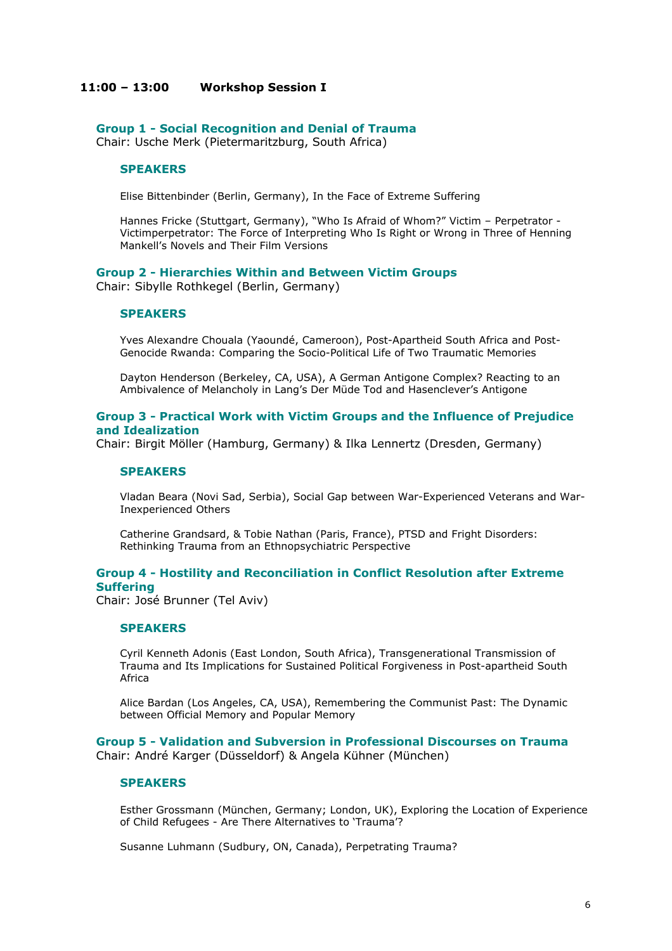#### **11:00 – 13:00 Workshop Session I**

**Group 1 - Social Recognition and Denial of Trauma** 

Chair: Usche Merk (Pietermaritzburg, South Africa)

#### **SPEAKERS**

Elise Bittenbinder (Berlin, Germany), In the Face of Extreme Suffering

Hannes Fricke (Stuttgart, Germany), "Who Is Afraid of Whom?" Victim – Perpetrator - Victimperpetrator: The Force of Interpreting Who Is Right or Wrong in Three of Henning Mankell's Novels and Their Film Versions

#### **Group 2 - Hierarchies Within and Between Victim Groups**

Chair: Sibylle Rothkegel (Berlin, Germany)

#### **SPEAKERS**

Yves Alexandre Chouala (Yaoundé, Cameroon), Post-Apartheid South Africa and Post-Genocide Rwanda: Comparing the Socio-Political Life of Two Traumatic Memories

Dayton Henderson (Berkeley, CA, USA), A German Antigone Complex? Reacting to an Ambivalence of Melancholy in Lang's *Der Müde Tod* and Hasenclever's *Antigone*

#### **Group 3 - Practical Work with Victim Groups and the Influence of Prejudice and Idealization**

Chair: Birgit Möller (Hamburg, Germany) & Ilka Lennertz (Dresden, Germany)

#### **SPEAKERS**

Vladan Beara (Novi Sad, Serbia), Social Gap between War-Experienced Veterans and War-Inexperienced Others

Catherine Grandsard, & Tobie Nathan (Paris, France), PTSD and Fright Disorders: Rethinking Trauma from an Ethnopsychiatric Perspective

## **Group 4 - Hostility and Reconciliation in Conflict Resolution after Extreme Suffering**

Chair: José Brunner (Tel Aviv)

#### **SPEAKERS**

Cyril Kenneth Adonis (East London, South Africa), Transgenerational Transmission of Trauma and Its Implications for Sustained Political Forgiveness in Post-apartheid South Africa

Alice Bardan (Los Angeles, CA, USA), Remembering the Communist Past: The Dynamic between Official Memory and Popular Memory

**Group 5 - Validation and Subversion in Professional Discourses on Trauma**  Chair: André Karger (Düsseldorf) & Angela Kühner (München)

#### **SPEAKERS**

Esther Grossmann (München, Germany; London, UK), Exploring the Location of Experience of Child Refugees - Are There Alternatives to 'Trauma'?

Susanne Luhmann (Sudbury, ON, Canada), Perpetrating Trauma?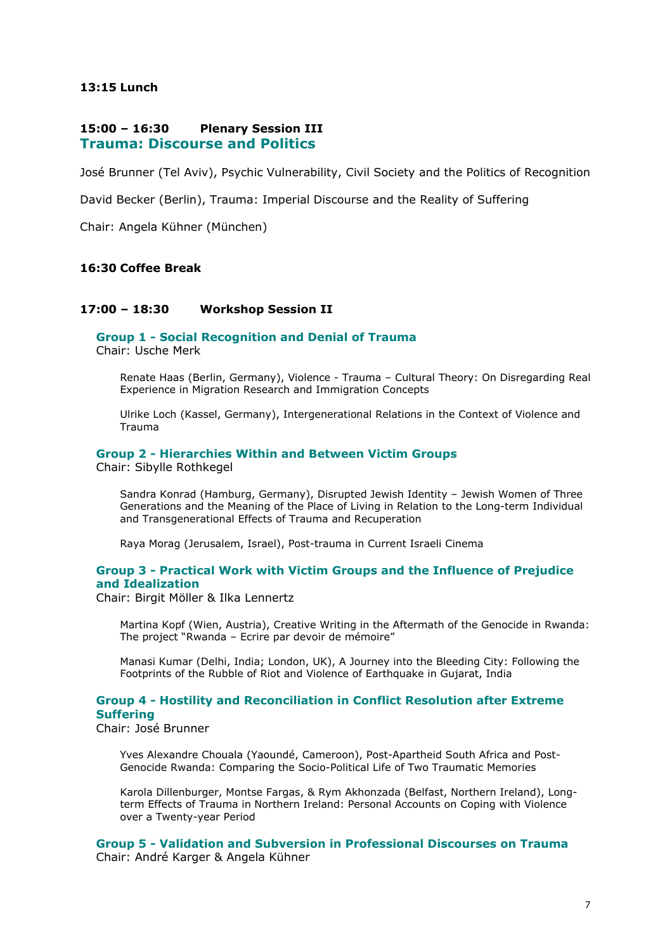## **13:15 Lunch**

#### **15:00 – 16:30 Plenary Session III Trauma: Discourse and Politics**

José Brunner (Tel Aviv), Psychic Vulnerability, Civil Society and the Politics of Recognition

David Becker (Berlin), Trauma: Imperial Discourse and the Reality of Suffering

Chair: Angela Kühner (München)

## **16:30 Coffee Break**

#### **17:00 – 18:30 Workshop Session II**

**Group 1 - Social Recognition and Denial of Trauma** 

Chair: Usche Merk

Renate Haas (Berlin, Germany), Violence - Trauma – Cultural Theory: On Disregarding Real Experience in Migration Research and Immigration Concepts

Ulrike Loch (Kassel, Germany), Intergenerational Relations in the Context of Violence and Trauma

#### **Group 2 - Hierarchies Within and Between Victim Groups**

Chair: Sibylle Rothkegel

Sandra Konrad (Hamburg, Germany), Disrupted Jewish Identity – Jewish Women of Three Generations and the Meaning of the Place of Living in Relation to the Long-term Individual and Transgenerational Effects of Trauma and Recuperation

Raya Morag (Jerusalem, Israel), Post-trauma in Current Israeli Cinema

#### **Group 3 - Practical Work with Victim Groups and the Influence of Prejudice and Idealization**

Chair: Birgit Möller & Ilka Lennertz

Martina Kopf (Wien, Austria), Creative Writing in the Aftermath of the Genocide in Rwanda: The project "Rwanda – Ecrire par devoir de mémoire"

Manasi Kumar (Delhi, India; London, UK), A Journey into the Bleeding City: Following the Footprints of the Rubble of Riot and Violence of Earthquake in Gujarat, India

## **Group 4 - Hostility and Reconciliation in Conflict Resolution after Extreme Suffering**

Chair: José Brunner

Yves Alexandre Chouala (Yaoundé, Cameroon), Post-Apartheid South Africa and Post-Genocide Rwanda: Comparing the Socio-Political Life of Two Traumatic Memories

Karola Dillenburger, Montse Fargas, & Rym Akhonzada (Belfast, Northern Ireland), Longterm Effects of Trauma in Northern Ireland: Personal Accounts on Coping with Violence over a Twenty-year Period

**Group 5 - Validation and Subversion in Professional Discourses on Trauma**  Chair: André Karger & Angela Kühner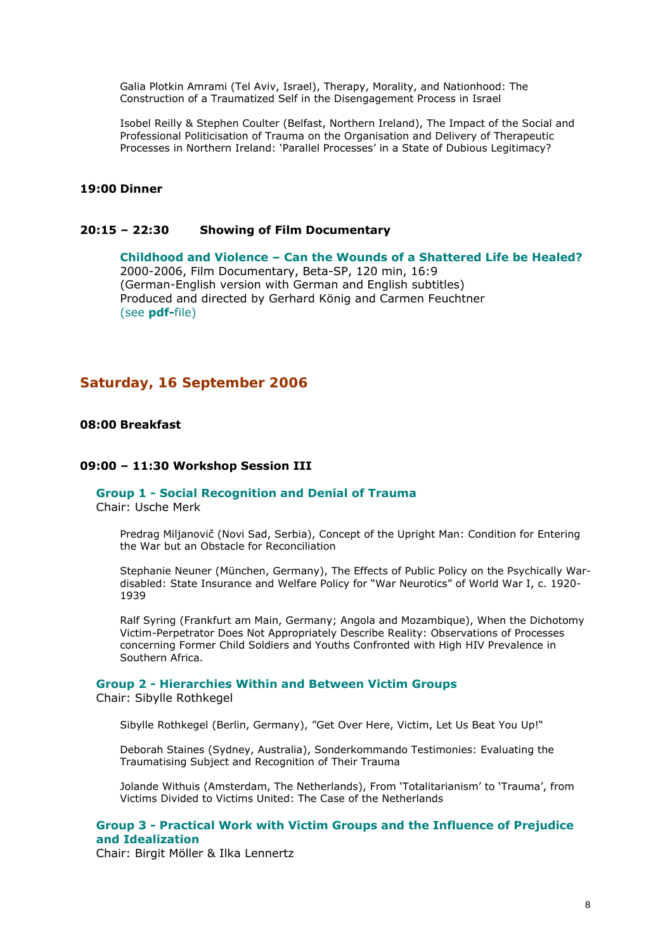Galia Plotkin Amrami (Tel Aviv, Israel), Therapy, Morality, and Nationhood: The Construction of a Traumatized Self in the Disengagement Process in Israel

Isobel Reilly & Stephen Coulter (Belfast, Northern Ireland), The Impact of the Social and Professional Politicisation of Trauma on the Organisation and Delivery of Therapeutic Processes in Northern Ireland: 'Parallel Processes' in a State of Dubious Legitimacy?

## **19:00 Dinner**

#### **20:15 – 22:30 Showing of Film Documentary**

**Childhood and Violence – Can the Wounds of a Shattered Life be Healed?**  2000-2006, Film Documentary, Beta-SP, 120 min, 16:9 (German-English version with German and English subtitles) Produced and directed by Gerhard König and Carmen Feuchtner (see **pdf-**file)

## *Saturday, 16 September 2006*

#### **08:00 Breakfast**

#### **09:00 – 11:30 Workshop Session III**

#### **Group 1 - Social Recognition and Denial of Trauma**

Chair: Usche Merk

Predrag Miljanovič (Novi Sad, Serbia), Concept of the Upright Man: Condition for Entering the War but an Obstacle for Reconciliation

Stephanie Neuner (München, Germany), The Effects of Public Policy on the Psychically Wardisabled: State Insurance and Welfare Policy for "War Neurotics" of World War I, c. 1920- 1939

Ralf Syring (Frankfurt am Main, Germany; Angola and Mozambique), When the Dichotomy Victim-Perpetrator Does Not Appropriately Describe Reality: Observations of Processes concerning Former Child Soldiers and Youths Confronted with High HIV Prevalence in Southern Africa.

#### **Group 2 - Hierarchies Within and Between Victim Groups**

Chair: Sibylle Rothkegel

Sibylle Rothkegel (Berlin, Germany), "Get Over Here, Victim, Let Us Beat You Up!"

Deborah Staines (Sydney, Australia), Sonderkommando Testimonies: Evaluating the Traumatising Subject and Recognition of Their Trauma

Jolande Withuis (Amsterdam, The Netherlands), From 'Totalitarianism' to 'Trauma', from Victims Divided to Victims United: The Case of the Netherlands

**Group 3 - Practical Work with Victim Groups and the Influence of Prejudice and Idealization** 

Chair: Birgit Möller & Ilka Lennertz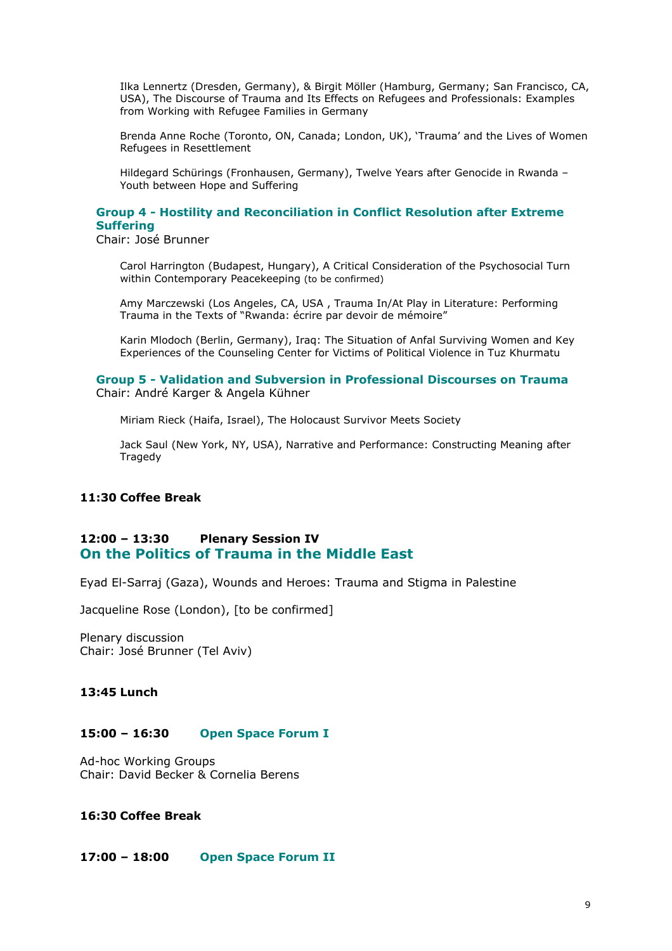Ilka Lennertz (Dresden, Germany), & Birgit Möller (Hamburg, Germany; San Francisco, CA, USA), The Discourse of Trauma and Its Effects on Refugees and Professionals: Examples from Working with Refugee Families in Germany

Brenda Anne Roche (Toronto, ON, Canada; London, UK), 'Trauma' and the Lives of Women Refugees in Resettlement

Hildegard Schürings (Fronhausen, Germany), Twelve Years after Genocide in Rwanda – Youth between Hope and Suffering

## **Group 4 - Hostility and Reconciliation in Conflict Resolution after Extreme Suffering**

Chair: José Brunner

Carol Harrington (Budapest, Hungary), A Critical Consideration of the Psychosocial Turn within Contemporary Peacekeeping (to be confirmed)

Amy Marczewski (Los Angeles, CA, USA , Trauma In/At Play in Literature: Performing Trauma in the Texts of "Rwanda: écrire par devoir de mémoire"

Karin Mlodoch (Berlin, Germany), Iraq: The Situation of Anfal Surviving Women and Key Experiences of the Counseling Center for Victims of Political Violence in Tuz Khurmatu

#### **Group 5 - Validation and Subversion in Professional Discourses on Trauma**  Chair: André Karger & Angela Kühner

Miriam Rieck (Haifa, Israel), The Holocaust Survivor Meets Society

Jack Saul (New York, NY, USA), Narrative and Performance: Constructing Meaning after Tragedy

## **11:30 Coffee Break**

## **12:00 – 13:30 Plenary Session IV On the Politics of Trauma in the Middle East**

Eyad El-Sarraj (Gaza), Wounds and Heroes: Trauma and Stigma in Palestine

Jacqueline Rose (London), [to be confirmed]

Plenary discussion Chair: José Brunner (Tel Aviv)

## **13:45 Lunch**

#### **15:00 – 16:30 Open Space Forum I**

Ad-hoc Working Groups Chair: David Becker & Cornelia Berens

## **16:30 Coffee Break**

#### **17:00 – 18:00 Open Space Forum II**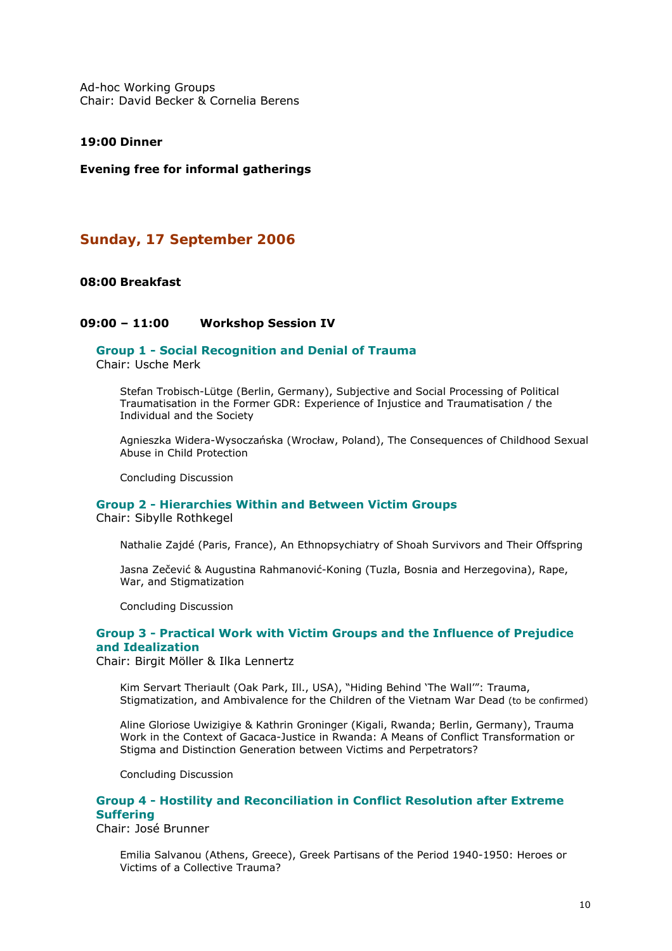Ad-hoc Working Groups Chair: David Becker & Cornelia Berens

#### **19:00 Dinner**

#### **Evening free for informal gatherings**

## *Sunday, 17 September 2006*

#### **08:00 Breakfast**

#### **09:00 – 11:00 Workshop Session IV**

#### **Group 1 - Social Recognition and Denial of Trauma**  Chair: Usche Merk

Stefan Trobisch-Lütge (Berlin, Germany), Subjective and Social Processing of Political Traumatisation in the Former GDR: Experience of Injustice and Traumatisation / the Individual and the Society

Agnieszka Widera-Wysoczańska (Wrocław, Poland), The Consequences of Childhood Sexual Abuse in Child Protection

Concluding Discussion

## **Group 2 - Hierarchies Within and Between Victim Groups**

Chair: Sibylle Rothkegel

Nathalie Zajdé (Paris, France), An Ethnopsychiatry of Shoah Survivors and Their Offspring

Jasna Zečević & Augustina Rahmanović-Koning (Tuzla, Bosnia and Herzegovina), Rape, War, and Stigmatization

Concluding Discussion

#### **Group 3 - Practical Work with Victim Groups and the Influence of Prejudice and Idealization**

Chair: Birgit Möller & Ilka Lennertz

Kim Servart Theriault (Oak Park, Ill., USA), "Hiding Behind 'The Wall'": Trauma, Stigmatization, and Ambivalence for the Children of the Vietnam War Dead (to be confirmed)

Aline Gloriose Uwizigiye & Kathrin Groninger (Kigali, Rwanda; Berlin, Germany), Trauma Work in the Context of Gacaca-Justice in Rwanda: A Means of Conflict Transformation or Stigma and Distinction Generation between Victims and Perpetrators?

Concluding Discussion

## **Group 4 - Hostility and Reconciliation in Conflict Resolution after Extreme Suffering**

Chair: José Brunner

Emilia Salvanou (Athens, Greece), Greek Partisans of the Period 1940-1950: Heroes or Victims of a Collective Trauma?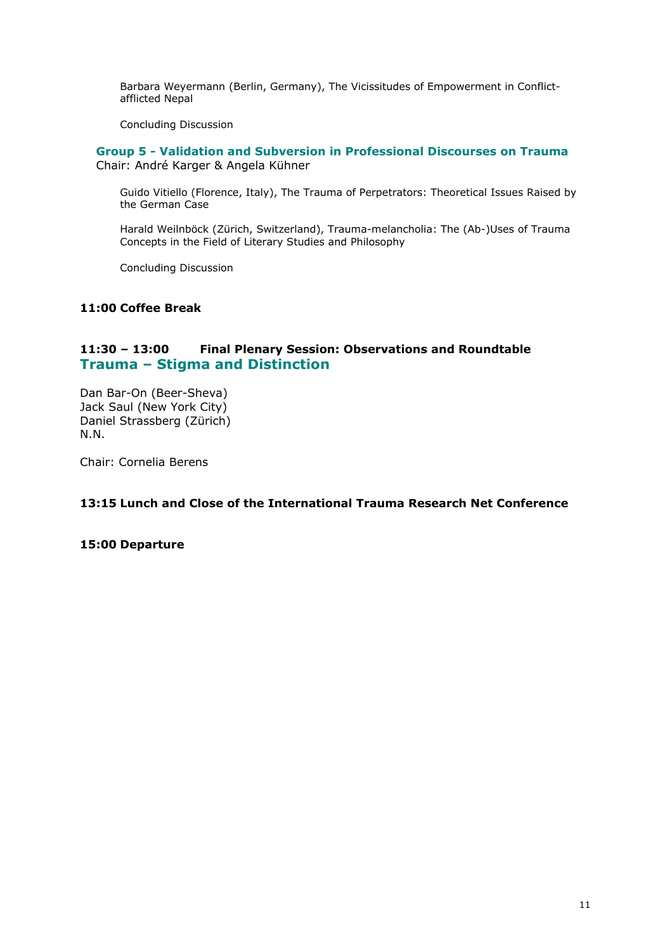Barbara Weyermann (Berlin, Germany), The Vicissitudes of Empowerment in Conflictafflicted Nepal

Concluding Discussion

**Group 5 - Validation and Subversion in Professional Discourses on Trauma**  Chair: André Karger & Angela Kühner

Guido Vitiello (Florence, Italy), The Trauma of Perpetrators: Theoretical Issues Raised by the German Case

Harald Weilnböck (Zürich, Switzerland), Trauma-melancholia: The (Ab-)Uses of Trauma Concepts in the Field of Literary Studies and Philosophy

Concluding Discussion

#### **11:00 Coffee Break**

## **11:30 – 13:00 Final Plenary Session: Observations and Roundtable Trauma – Stigma and Distinction**

Dan Bar-On (Beer-Sheva) Jack Saul (New York City) Daniel Strassberg (Zürich) N.N.

Chair: Cornelia Berens

## **13:15 Lunch and Close of the International Trauma Research Net Conference**

#### **15:00 Departure**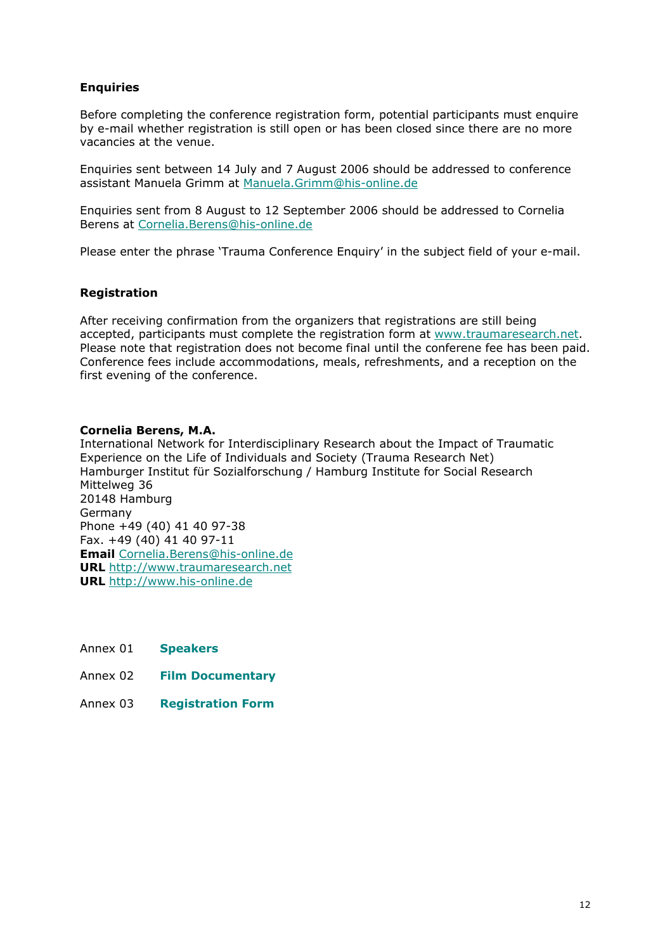## **Enquiries**

Before completing the conference registration form, potential participants must enquire by e-mail whether registration is still open or has been closed since there are no more vacancies at the venue.

Enquiries sent between 14 July and 7 August 2006 should be addressed to conference assistant Manuela Grimm at [Manuela.Grimm@his-online.de](mailto:Manuela.Grimm@his-online.de) 

Enquiries sent from 8 August to 12 September 2006 should be addressed to Cornelia Berens at [Cornelia.Berens@his-online.de](mailto:Cornelia.Berens@his-online.de)

Please enter the phrase 'Trauma Conference Enquiry' in the subject field of your e-mail.

## **Registration**

After receiving confirmation from the organizers that registrations are still being accepted, participants must complete the registration form at [www.traumaresearch.net](http://www.traumaresearch.net/). Please note that registration does not become final until the conferene fee has been paid. Conference fees include accommodations, meals, refreshments, and a reception on the first evening of the conference.

## **Cornelia Berens, M.A.**

International Network for Interdisciplinary Research about the Impact of Traumatic Experience on the Life of Individuals and Society (*Trauma Research Net*) Hamburger Institut für Sozialforschung / Hamburg Institute for Social Research Mittelweg 36 20148 Hamburg Germany Phone +49 (40) 41 40 97-38 Fax. +49 (40) 41 40 97-11 **Email** [Cornelia.Berens@his-online.de](mailto:Cornelia.Berens@his-online.de) **URL** [http://www.traumaresearch.net](http://www.traumaresearch.net/) **URL** [http://www.his-online.de](http://www.his-online.de/) 

- Annex 01 **Speakers**
- Annex 02 **Film Documentary**
- Annex 03 **Registration Form**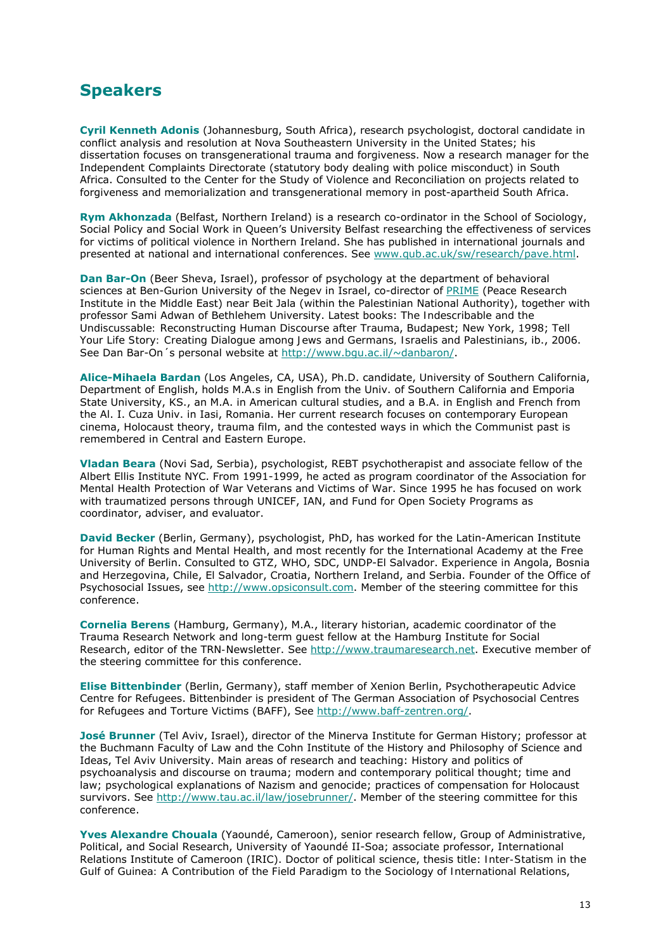# **Speakers**

**Cyril Kenneth Adonis** (Johannesburg, South Africa), research psychologist, doctoral candidate in conflict analysis and resolution at Nova Southeastern University in the United States; his dissertation focuses on transgenerational trauma and forgiveness. Now a research manager for the Independent Complaints Directorate (statutory body dealing with police misconduct) in South Africa. Consulted to the Center for the Study of Violence and Reconciliation on projects related to forgiveness and memorialization and transgenerational memory in post-apartheid South Africa.

**Rym Akhonzada** (Belfast, Northern Ireland) is a research co-ordinator in the School of Sociology, Social Policy and Social Work in Queen's University Belfast researching the effectiveness of services for victims of political violence in Northern Ireland. She has published in international journals and presented at national and international conferences. See [www.qub.ac.uk/sw/research/pave.html.](http://www.qub.ac.uk/sw/research/pave.html)

**Dan Bar-On** (Beer Sheva, Israel), professor of psychology at the department of behavioral sciences at Ben-Gurion University of the Negev in Israel, co-director of [PRIME](http://vispo.com/PRIME/about.htm) (Peace Research Institute in the Middle East) near Beit Jala (within the Palestinian National Authority), together with professor Sami Adwan of Bethlehem University. Latest books: *The Indescribable and the Undiscussable: Reconstructing Human Discourse after Trauma*, Budapest; New York, 1998; *Tell Your Life Story: Creating Dialogue among Jews and Germans, Israelis and Palestinians*, ib., 2006. See Dan Bar-On´s personal website at [http://www.bgu.ac.il/~danbaron/](http://www.bgu.ac.il/%7Edanbaron/).

**Alice-Mihaela Bardan** (Los Angeles, CA, USA), Ph.D. candidate, University of Southern California, Department of English, holds M.A.s in English from the Univ. of Southern California and Emporia State University, KS., an M.A. in American cultural studies, and a B.A. in English and French from the Al. I. Cuza Univ. in Iasi, Romania. Her current research focuses on contemporary European cinema, Holocaust theory, trauma film, and the contested ways in which the Communist past is remembered in Central and Eastern Europe.

**Vladan Beara** (Novi Sad, Serbia), psychologist, REBT psychotherapist and associate fellow of the Albert Ellis Institute NYC. From 1991-1999, he acted as program coordinator of the Association for Mental Health Protection of War Veterans and Victims of War. Since 1995 he has focused on work with traumatized persons through UNICEF, IAN, and Fund for Open Society Programs as coordinator, adviser, and evaluator.

**David Becker** (Berlin, Germany), psychologist, PhD, has worked for the Latin-American Institute for Human Rights and Mental Health, and most recently for the International Academy at the Free University of Berlin. Consulted to GTZ, WHO, SDC, UNDP-El Salvador. Experience in Angola, Bosnia and Herzegovina, Chile, El Salvador, Croatia, Northern Ireland, and Serbia. Founder of the Office of Psychosocial Issues, see [http://www.opsiconsult.com](http://www.opsiconsult.com/). Member of the steering committee for this conference.

**Cornelia Berens** (Hamburg, Germany), M.A., literary historian, academic coordinator of the Trauma Research Network and long-term guest fellow at the Hamburg Institute for Social Research, editor of the *TRN-Newsletter*. See [http://www.traumaresearch.net](http://www.traumaresearch.net/). Executive member of the steering committee for this conference.

**Elise Bittenbinder** (Berlin, Germany), staff member of Xenion Berlin, Psychotherapeutic Advice Centre for Refugees. Bittenbinder is president of The German Association of Psychosocial Centres for Refugees and Torture Victims (BAFF), See [http://www.baff-zentren.org/.](http://www.baff-zentren.org/)

**José Brunner** (Tel Aviv, Israel), director of the Minerva Institute for German History; professor at the Buchmann Faculty of Law and the Cohn Institute of the History and Philosophy of Science and Ideas, Tel Aviv University. Main areas of research and teaching: History and politics of psychoanalysis and discourse on trauma; modern and contemporary political thought; time and law; psychological explanations of Nazism and genocide; practices of compensation for Holocaust survivors. See [http://www.tau.ac.il/law/josebrunner/.](http://www.tau.ac.il/law/josebrunner/) Member of the steering committee for this conference.

**Yves Alexandre Chouala** (Yaoundé, Cameroon), senior research fellow, Group of Administrative, Political, and Social Research, University of Yaoundé II-Soa; associate professor, International Relations Institute of Cameroon (IRIC). Doctor of political science, thesis title: *Inter-Statism in the Gulf of Guinea: A Contribution of the Field Paradigm to the Sociology of International Relations*,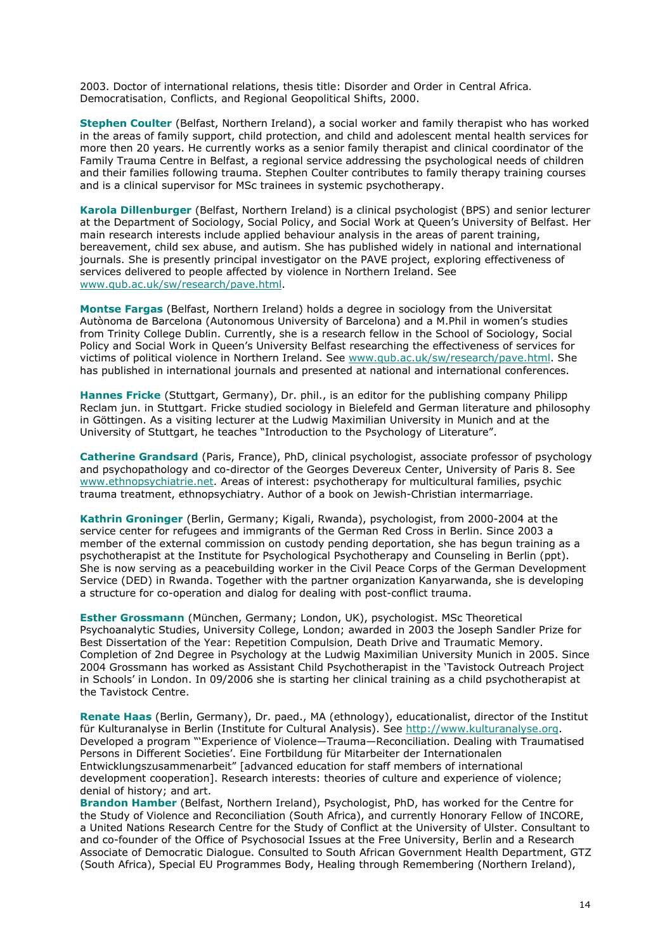2003. Doctor of international relations, thesis title: *Disorder and Order in Central Africa. Democratisation, Conflicts, and Regional Geopolitical Shifts*, 2000.

**Stephen Coulter** (Belfast, Northern Ireland), a social worker and family therapist who has worked in the areas of family support, child protection, and child and adolescent mental health services for more then 20 years. He currently works as a senior family therapist and clinical coordinator of the Family Trauma Centre in Belfast, a regional service addressing the psychological needs of children and their families following trauma. Stephen Coulter contributes to family therapy training courses and is a clinical supervisor for MSc trainees in systemic psychotherapy.

**Karola Dillenburger** (Belfast, Northern Ireland) is a clinical psychologist (BPS) and senior lecturer at the Department of Sociology, Social Policy, and Social Work at Queen's University of Belfast. Her main research interests include applied behaviour analysis in the areas of parent training, bereavement, child sex abuse, and autism. She has published widely in national and international journals. She is presently principal investigator on the PAVE project, exploring effectiveness of services delivered to people affected by violence in Northern Ireland. See [www.qub.ac.uk/sw/research/pave.html](http://www.qub.ac.uk/sw/research/pave.html).

**Montse Fargas** (Belfast, Northern Ireland) holds a degree in sociology from the Universitat Autònoma de Barcelona (Autonomous University of Barcelona) and a M.Phil in women's studies from Trinity College Dublin. Currently, she is a research fellow in the School of Sociology, Social Policy and Social Work in Queen's University Belfast researching the effectiveness of services for victims of political violence in Northern Ireland. See [www.qub.ac.uk/sw/research/pave.html](http://www.qub.ac.uk/sw/research/pave.html). She has published in international journals and presented at national and international conferences.

**Hannes Fricke** (Stuttgart, Germany), Dr. phil., is an editor for the publishing company Philipp Reclam jun. in Stuttgart. Fricke studied sociology in Bielefeld and German literature and philosophy in Göttingen. As a visiting lecturer at the Ludwig Maximilian University in Munich and at the University of Stuttgart, he teaches "Introduction to the Psychology of Literature".

**Catherine Grandsard** (Paris, France), PhD, clinical psychologist, associate professor of psychology and psychopathology and co-director of the Georges Devereux Center, University of Paris 8. See [www.ethnopsychiatrie.net](http://www.ethnopsychiatrie.net/). Areas of interest: psychotherapy for multicultural families, psychic trauma treatment, ethnopsychiatry. Author of a book on Jewish-Christian intermarriage.

**Kathrin Groninger** (Berlin, Germany; Kigali, Rwanda), psychologist, from 2000-2004 at the service center for refugees and immigrants of the German Red Cross in Berlin. Since 2003 a member of the external commission on custody pending deportation, she has begun training as a psychotherapist at the Institute for Psychological Psychotherapy and Counseling in Berlin (ppt). She is now serving as a peacebuilding worker in the Civil Peace Corps of the German Development Service (DED) in Rwanda. Together with the partner organization Kanyarwanda, she is developing a structure for co-operation and dialog for dealing with post-conflict trauma.

**Esther Grossmann** (München, Germany; London, UK), psychologist. MSc Theoretical Psychoanalytic Studies, University College, London; awarded in 2003 the Joseph Sandler Prize for Best Dissertation of the Year: *Repetition Compulsion, Death Drive and Traumatic Memory*. Completion of 2nd Degree in Psychology at the Ludwig Maximilian University Munich in 2005. Since 2004 Grossmann has worked as Assistant Child Psychotherapist in the 'Tavistock Outreach Project in Schools' in London. In 09/2006 she is starting her clinical training as a child psychotherapist at the Tavistock Centre.

**Renate Haas** (Berlin, Germany), Dr. paed., MA (ethnology), educationalist, director of the Institut für Kulturanalyse in Berlin (Institute for Cultural Analysis). See [http://www.kulturanalyse.org.](http://www.kulturanalyse.org/) Developed a program "'Experience of Violence—Trauma—Reconciliation. Dealing with Traumatised Persons in Different Societies'. Eine Fortbildung für Mitarbeiter der Internationalen Entwicklungszusammenarbeit" [advanced education for staff members of international development cooperation]. Research interests: theories of culture and experience of violence; denial of history; and art.

**Brandon Hamber** (Belfast, Northern Ireland), Psychologist, PhD, has worked for the Centre for the Study of Violence and Reconciliation (South Africa), and currently Honorary Fellow of INCORE, a United Nations Research Centre for the Study of Conflict at the University of Ulster. Consultant to and co-founder of the Office of Psychosocial Issues at the Free University, Berlin and a Research Associate of Democratic Dialogue. Consulted to South African Government Health Department, GTZ (South Africa), Special EU Programmes Body, Healing through Remembering (Northern Ireland),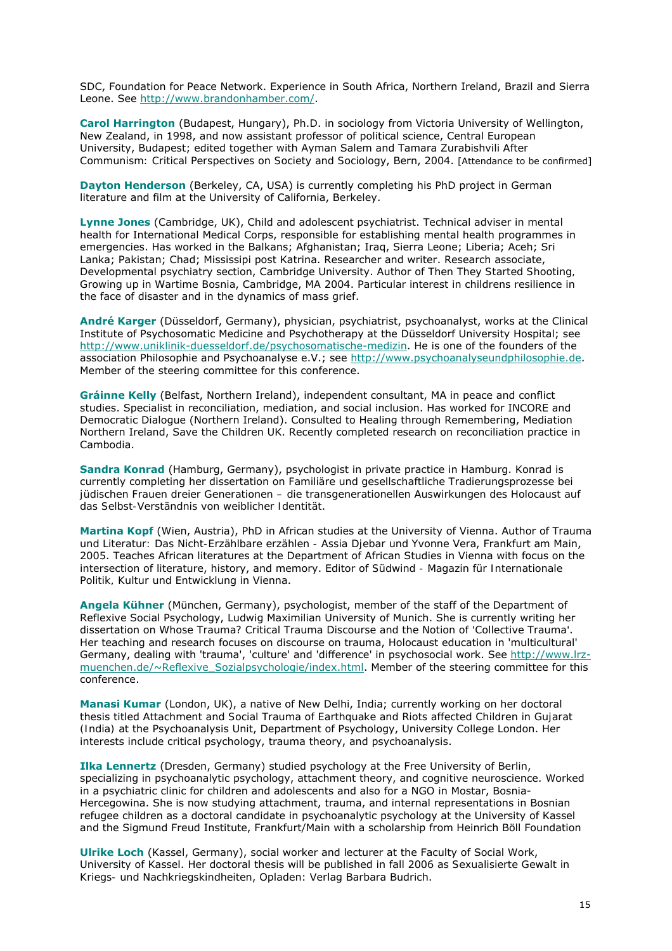SDC, Foundation for Peace Network. Experience in South Africa, Northern Ireland, Brazil and Sierra Leone. See<http://www.brandonhamber.com/>.

**Carol Harrington** (Budapest, Hungary), Ph.D. in sociology from Victoria University of Wellington, New Zealand, in 1998, and now assistant professor of political science, Central European University, Budapest; edited together with Ayman Salem and Tamara Zurabishvili *After Communism: Critical Perspectives on Society and Sociology*, Bern, 2004. [Attendance to be confirmed]

**Dayton Henderson** (Berkeley, CA, USA) is currently completing his PhD project in German literature and film at the University of California, Berkeley.

**Lynne Jones** (Cambridge, UK), Child and adolescent psychiatrist. Technical adviser in mental health for International Medical Corps, responsible for establishing mental health programmes in emergencies. Has worked in the Balkans; Afghanistan; Iraq, Sierra Leone; Liberia; Aceh; Sri Lanka; Pakistan; Chad; Mississipi post Katrina. Researcher and writer. Research associate, Developmental psychiatry section, Cambridge University. Author of *Then They Started Shooting, Growing up in Wartime Bosnia*, Cambridge, MA 2004. Particular interest in childrens resilience in the face of disaster and in the dynamics of mass grief.

**André Karger** (Düsseldorf, Germany), physician, psychiatrist, psychoanalyst, works at the Clinical Institute of Psychosomatic Medicine and Psychotherapy at the Düsseldorf University Hospital; see <http://www.uniklinik-duesseldorf.de/psychosomatische-medizin>. He is one of the founders of the association Philosophie and Psychoanalyse e.V.; see [http://www.psychoanalyseundphilosophie.de.](http://www.psychoanalyseundphilosophie.de/) Member of the steering committee for this conference.

**Gráinne Kelly** (Belfast, Northern Ireland), independent consultant, MA in peace and conflict studies. Specialist in reconciliation, mediation, and social inclusion. Has worked for INCORE and Democratic Dialogue (Northern Ireland). Consulted to Healing through Remembering, Mediation Northern Ireland, Save the Children UK. Recently completed research on reconciliation practice in Cambodia.

**Sandra Konrad** (Hamburg, Germany), psychologist in private practice in Hamburg. Konrad is currently completing her dissertation on *Familiäre und gesellschaftliche Tradierungsprozesse bei jüdischen Frauen dreier Generationen – die transgenerationellen Auswirkungen des Holocaust auf das Selbst-Verständnis von weiblicher Identität*.

**Martina Kopf** (Wien, Austria), PhD in African studies at the University of Vienna. Author of *Trauma und Literatur: Das Nicht-Erzählbare erzählen - Assia Djebar und Yvonne Vera*, Frankfurt am Main, 2005. Teaches African literatures at the Department of African Studies in Vienna with focus on the intersection of literature, history, and memory. Editor of *Südwind - Magazin für Internationale Politik, Kultur und Entwicklung* in Vienna.

**Angela Kühner** (München, Germany), psychologist, member of the staff of the Department of Reflexive Social Psychology, Ludwig Maximilian University of Munich. She is currently writing her dissertation on *Whose Trauma? Critical Trauma Discourse and the Notion of 'Collective Trauma'*. Her teaching and research focuses on discourse on trauma, Holocaust education in 'multicultural' Germany, dealing with 'trauma', 'culture' and 'difference' in psychosocial work. See [http://www.lrz](http://www.lrz-muenchen.de/%7EReflexive_Sozialpsychologie/index.html)[muenchen.de/~Reflexive\\_Sozialpsychologie/index.html](http://www.lrz-muenchen.de/%7EReflexive_Sozialpsychologie/index.html). Member of the steering committee for this conference.

**Manasi Kumar** (London, UK), a native of New Delhi, India; currently working on her doctoral thesis titled *Attachment and Social Trauma of Earthquake and Riots affected Children in Gujarat (India)* at the Psychoanalysis Unit, Department of Psychology, University College London. Her interests include critical psychology, trauma theory, and psychoanalysis.

**Ilka Lennertz** (Dresden, Germany) studied psychology at the Free University of Berlin, specializing in psychoanalytic psychology, attachment theory, and cognitive neuroscience. Worked in a psychiatric clinic for children and adolescents and also for a NGO in Mostar, Bosnia-Hercegowina. She is now studying attachment, trauma, and internal representations in Bosnian refugee children as a doctoral candidate in psychoanalytic psychology at the University of Kassel and the Sigmund Freud Institute, Frankfurt/Main with a scholarship from Heinrich Böll Foundation

**Ulrike Loch** (Kassel, Germany), social worker and lecturer at the Faculty of Social Work, University of Kassel. Her doctoral thesis will be published in fall 2006 as *Sexualisierte Gewalt in Kriegs- und Nachkriegskindheiten*, Opladen: Verlag Barbara Budrich.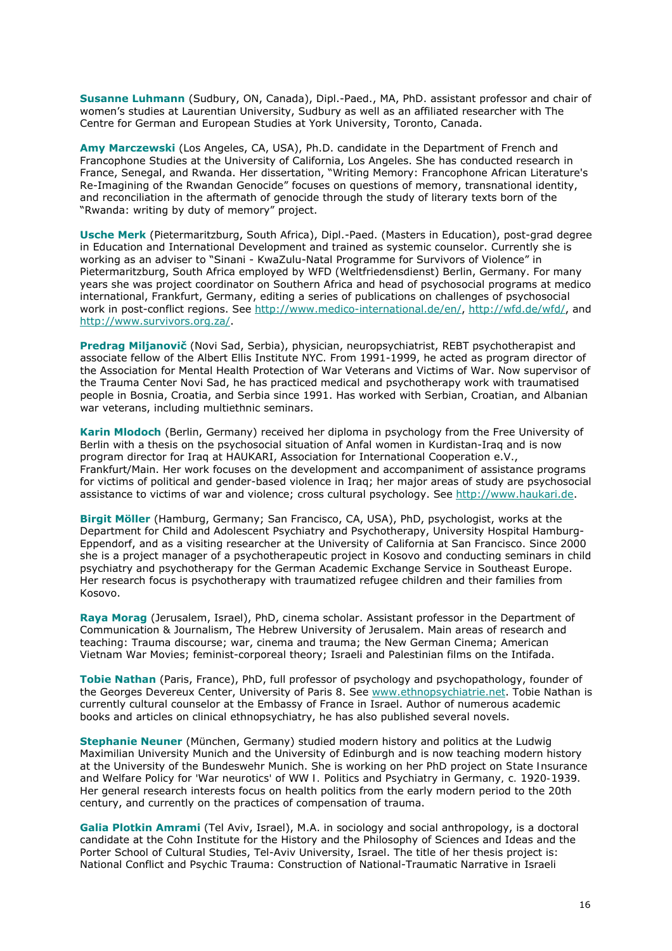**Susanne Luhmann** (Sudbury, ON, Canada), Dipl.-Paed., MA, PhD. assistant professor and chair of women's studies at Laurentian University, Sudbury as well as an affiliated researcher with The Centre for German and European Studies at York University, Toronto, Canada.

**Amy Marczewski** (Los Angeles, CA, USA), Ph.D. candidate in the Department of French and Francophone Studies at the University of California, Los Angeles. She has conducted research in France, Senegal, and Rwanda. Her dissertation, "Writing Memory: Francophone African Literature's Re-Imagining of the Rwandan Genocide" focuses on questions of memory, transnational identity, and reconciliation in the aftermath of genocide through the study of literary texts born of the "Rwanda: writing by duty of memory" project.

**Usche Merk** (Pietermaritzburg, South Africa), Dipl.-Paed. (Masters in Education), post-grad degree in Education and International Development and trained as systemic counselor. Currently she is working as an adviser to "Sinani - KwaZulu-Natal Programme for Survivors of Violence" in Pietermaritzburg, South Africa employed by WFD (Weltfriedensdienst) Berlin, Germany. For many years she was project coordinator on Southern Africa and head of psychosocial programs at medico international, Frankfurt, Germany, editing a series of publications on challenges of psychosocial work in post-conflict regions. See [http://www.medico-international.de/en/,](http://www.medico-international.de/en/)<http://wfd.de/wfd/>, and [http://www.survivors.org.za/.](http://www.survivors.org.za/)

**Predrag Miljanovič** (Novi Sad, Serbia), physician, neuropsychiatrist, REBT psychotherapist and associate fellow of the Albert Ellis Institute NYC. From 1991-1999, he acted as program director of the Association for Mental Health Protection of War Veterans and Victims of War. Now supervisor of the Trauma Center Novi Sad, he has practiced medical and psychotherapy work with traumatised people in Bosnia, Croatia, and Serbia since 1991. Has worked with Serbian, Croatian, and Albanian war veterans, including multiethnic seminars.

**Karin Mlodoch** (Berlin, Germany) received her diploma in psychology from the Free University of Berlin with a thesis on the psychosocial situation of Anfal women in Kurdistan-Iraq and is now program director for Iraq at HAUKARI, Association for International Cooperation e.V., Frankfurt/Main. Her work focuses on the development and accompaniment of assistance programs for victims of political and gender-based violence in Iraq; her major areas of study are psychosocial assistance to victims of war and violence; cross cultural psychology. See [http://www.haukari.de.](http://www.haukari.de/)

**Birgit Möller** (Hamburg, Germany; San Francisco, CA, USA), PhD, psychologist, works at the Department for Child and Adolescent Psychiatry and Psychotherapy, University Hospital Hamburg-Eppendorf, and as a visiting researcher at the University of California at San Francisco. Since 2000 she is a project manager of a psychotherapeutic project in Kosovo and conducting seminars in child psychiatry and psychotherapy for the German Academic Exchange Service in Southeast Europe. Her research focus is psychotherapy with traumatized refugee children and their families from Kosovo.

**Raya Morag** (Jerusalem, Israel), PhD, cinema scholar. Assistant professor in the Department of Communication & Journalism, The Hebrew University of Jerusalem. Main areas of research and teaching: Trauma discourse; war, cinema and trauma; the New German Cinema; American Vietnam War Movies; feminist-corporeal theory; Israeli and Palestinian films on the Intifada.

**Tobie Nathan** (Paris, France), PhD, full professor of psychology and psychopathology, founder of the Georges Devereux Center, University of Paris 8. See [www.ethnopsychiatrie.net.](http://www.ethnopsychiatrie.net/) Tobie Nathan is currently cultural counselor at the Embassy of France in Israel. Author of numerous academic books and articles on clinical ethnopsychiatry, he has also published several novels.

**Stephanie Neuner** (München, Germany) studied modern history and politics at the Ludwig Maximilian University Munich and the University of Edinburgh and is now teaching modern history at the University of the Bundeswehr Munich. She is working on her PhD project on *State Insurance and Welfare Policy for 'War neurotics' of WW I. Politics and Psychiatry in Germany, c. 1920-1939*. Her general research interests focus on health politics from the early modern period to the 20th century, and currently on the practices of compensation of trauma.

**Galia Plotkin Amrami** (Tel Aviv, Israel), M.A. in sociology and social anthropology, is a doctoral candidate at the Cohn Institute for the History and the Philosophy of Sciences and Ideas and the Porter School of Cultural Studies, Tel-Aviv University, Israel. The title of her thesis project is: National Conflict and Psychic Trauma: Construction of National-Traumatic Narrative in Israeli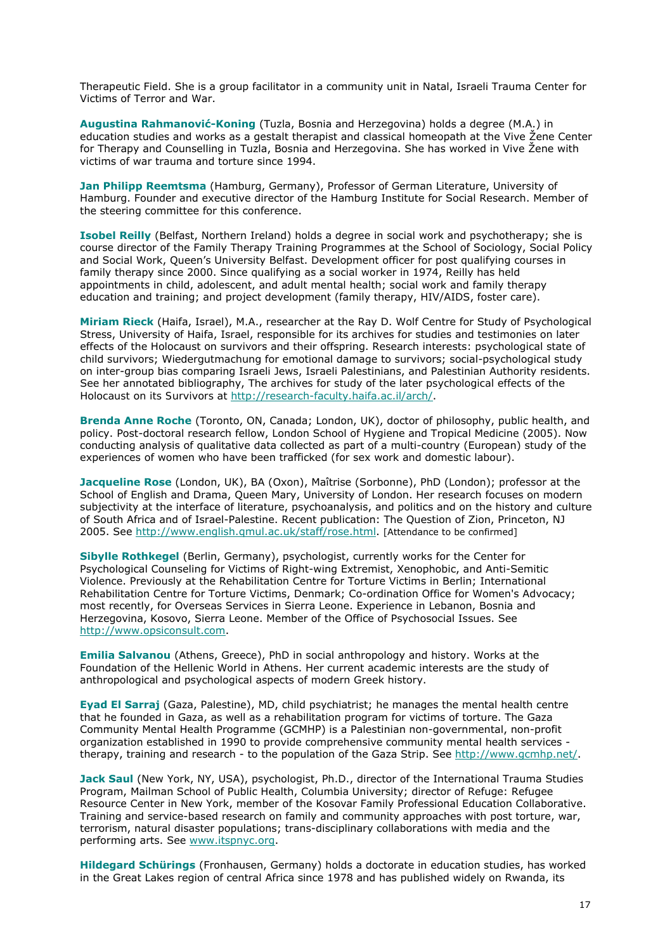Therapeutic Field. She is a group facilitator in a community unit in Natal, Israeli Trauma Center for Victims of Terror and War.

**Augustina Rahmanović-Koning** (Tuzla, Bosnia and Herzegovina) holds a degree (M.A.) in education studies and works as a gestalt therapist and classical homeopath at the Vive Žene Center for Therapy and Counselling in Tuzla, Bosnia and Herzegovina. She has worked in Vive Žene with victims of war trauma and torture since 1994.

**Jan Philipp Reemtsma** (Hamburg, Germany), Professor of German Literature, University of Hamburg. Founder and executive director of the Hamburg Institute for Social Research. Member of the steering committee for this conference.

**Isobel Reilly** (Belfast, Northern Ireland) holds a degree in social work and psychotherapy; she is course director of the Family Therapy Training Programmes at the School of Sociology, Social Policy and Social Work, Queen's University Belfast. Development officer for post qualifying courses in family therapy since 2000. Since qualifying as a social worker in 1974, Reilly has held appointments in child, adolescent, and adult mental health; social work and family therapy education and training; and project development (family therapy, HIV/AIDS, foster care).

**Miriam Rieck** (Haifa, Israel), M.A., researcher at the Ray D. Wolf Centre for Study of Psychological Stress, University of Haifa, Israel, responsible for its archives for studies and testimonies on later effects of the Holocaust on survivors and their offspring. Research interests: psychological state of child survivors; *Wiedergutmachung* for emotional damage to survivors; social-psychological study on inter-group bias comparing Israeli Jews, Israeli Palestinians, and Palestinian Authority residents. See her annotated bibliography, *The archives for study of the later psychological effects of the Holocaust on its Survivors* at<http://research-faculty.haifa.ac.il/arch/>.

**Brenda Anne Roche** (Toronto, ON, Canada; London, UK), doctor of philosophy, public health, and policy. Post-doctoral research fellow, London School of Hygiene and Tropical Medicine (2005). Now conducting analysis of qualitative data collected as part of a multi-country (European) study of the experiences of women who have been trafficked (for sex work and domestic labour).

**Jacqueline Rose** (London, UK), BA (Oxon), Maîtrise (Sorbonne), PhD (London); professor at the School of English and Drama, Queen Mary, University of London. Her research focuses on modern subjectivity at the interface of literature, psychoanalysis, and politics and on the history and culture of South Africa and of Israel-Palestine. Recent publication: *The Question of Zion*, Princeton, NJ 2005. See [http://www.english.qmul.ac.uk/staff/rose.html.](http://www.english.qmul.ac.uk/staff/rose.html) [Attendance to be confirmed]

**Sibylle Rothkegel** (Berlin, Germany), psychologist, currently works for the Center for Psychological Counseling for Victims of Right-wing Extremist, Xenophobic, and Anti-Semitic Violence. Previously at the Rehabilitation Centre for Torture Victims in Berlin; International Rehabilitation Centre for Torture Victims, Denmark; Co-ordination Office for Women's Advocacy; most recently, for Overseas Services in Sierra Leone. Experience in Lebanon, Bosnia and Herzegovina, Kosovo, Sierra Leone. Member of the Office of Psychosocial Issues. See [http://www.opsiconsult.com.](http://www.opsiconsult.com/)

**Emilia Salvanou** (Athens, Greece), PhD in social anthropology and history. Works at the Foundation of the Hellenic World in Athens. Her current academic interests are the study of anthropological and psychological aspects of modern Greek history.

**Eyad El Sarraj** (Gaza, Palestine), MD, child psychiatrist; he manages the mental health centre that he founded in Gaza, as well as a rehabilitation program for victims of torture. The Gaza Community Mental Health Programme (GCMHP) is a Palestinian non-governmental, non-profit organization established in 1990 to provide comprehensive community mental health services therapy, training and research - to the population of the Gaza Strip. See<http://www.gcmhp.net/>.

**Jack Saul** (New York, NY, USA), psychologist, Ph.D., director of the International Trauma Studies Program, Mailman School of Public Health, Columbia University; director of Refuge: Refugee Resource Center in New York, member of the Kosovar Family Professional Education Collaborative. Training and service-based research on family and community approaches with post torture, war, terrorism, natural disaster populations; trans-disciplinary collaborations with media and the performing arts. See [www.itspnyc.org](http://www.itspnyc.org/).

**Hildegard Schürings** (Fronhausen, Germany) holds a doctorate in education studies, has worked in the Great Lakes region of central Africa since 1978 and has published widely on Rwanda, its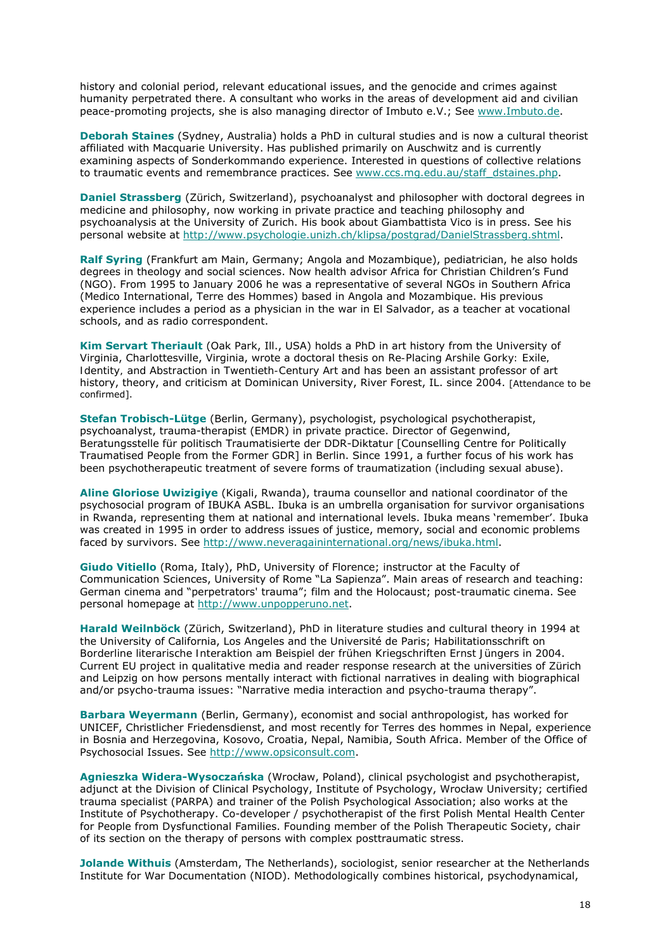history and colonial period, relevant educational issues, and the genocide and crimes against humanity perpetrated there. A consultant who works in the areas of development aid and civilian peace-promoting projects, she is also managing director of Imbuto e.V.; See [www.Imbuto.de](http://www.imbuto.de/).

**Deborah Staines** (Sydney, Australia) holds a PhD in cultural studies and is now a cultural theorist affiliated with Macquarie University. Has published primarily on Auschwitz and is currently examining aspects of Sonderkommando experience. Interested in questions of collective relations to traumatic events and remembrance practices. See [www.ccs.mg.edu.au/staff\\_dstaines.php.](http://www.ccs.mg.edu.au/staff_dstaines.php)

**Daniel Strassberg** (Zürich, Switzerland), psychoanalyst and philosopher with doctoral degrees in medicine and philosophy, now working in private practice and teaching philosophy and psychoanalysis at the University of Zurich. His book about Giambattista Vico is in press. See his personal website at [http://www.psychologie.unizh.ch/klipsa/postgrad/DanielStrassberg.shtml.](http://www.psychologie.unizh.ch/klipsa/postgrad/DanielStrassberg.shtml)

**Ralf Syring** (Frankfurt am Main, Germany; Angola and Mozambique), pediatrician, he also holds degrees in theology and social sciences. Now health advisor Africa for Christian Children's Fund (NGO). From 1995 to January 2006 he was a representative of several NGOs in Southern Africa (Medico International, Terre des Hommes) based in Angola and Mozambique. His previous experience includes a period as a physician in the war in El Salvador, as a teacher at vocational schools, and as radio correspondent.

**Kim Servart Theriault** (Oak Park, Ill., USA) holds a PhD in art history from the University of Virginia, Charlottesville, Virginia, wrote a doctoral thesis on *Re-Placing Arshile Gorky: Exile, Identity, and Abstraction in Twentieth-Century Art* and has been an assistant professor of art history, theory, and criticism at Dominican University, River Forest, IL. since 2004. [Attendance to be confirmed].

**Stefan Trobisch-Lütge** (Berlin, Germany), psychologist, psychological psychotherapist, psychoanalyst, trauma-therapist (EMDR) in private practice. Director of Gegenwind, Beratungsstelle für politisch Traumatisierte der DDR-Diktatur [Counselling Centre for Politically Traumatised People from the Former GDR] in Berlin. Since 1991, a further focus of his work has been psychotherapeutic treatment of severe forms of traumatization (including sexual abuse).

**Aline Gloriose Uwizigiye** (Kigali, Rwanda), trauma counsellor and national coordinator of the psychosocial program of IBUKA ASBL. Ibuka is an umbrella organisation for survivor organisations in Rwanda, representing them at national and international levels. Ibuka means 'remember'. Ibuka was created in 1995 in order to address issues of justice, memory, social and economic problems faced by survivors. See<http://www.neveragaininternational.org/news/ibuka.html>.

**Giudo Vitiello** (Roma, Italy), PhD, University of Florence; instructor at the Faculty of Communication Sciences, University of Rome "La Sapienza". Main areas of research and teaching: German cinema and "perpetrators' trauma"; film and the Holocaust; post-traumatic cinema. See personal homepage at [http://www.unpopperuno.net.](http://www.unpopperuno.net/)

**Harald Weilnböck** (Zürich, Switzerland), PhD in literature studies and cultural theory in 1994 at the University of California, Los Angeles and the Université de Paris; Habilitationsschrift on *Borderline literarische Interaktion am Beispiel der frühen Kriegschriften Ernst Jüngers* in 2004. Current EU project in qualitative media and reader response research at the universities of Zürich and Leipzig on how persons mentally interact with fictional narratives in dealing with biographical and/or psycho-trauma issues: "Narrative media interaction and psycho-trauma therapy".

**Barbara Weyermann** (Berlin, Germany), economist and social anthropologist, has worked for UNICEF, Christlicher Friedensdienst, and most recently for Terres des hommes in Nepal, experience in Bosnia and Herzegovina, Kosovo, Croatia, Nepal, Namibia, South Africa. Member of the Office of Psychosocial Issues. See [http://www.opsiconsult.com](http://www.opsiconsult.com/).

**Agnieszka Widera-Wysoczańska** (Wrocław, Poland), clinical psychologist and psychotherapist, adjunct at the Division of Clinical Psychology, Institute of Psychology, Wrocław University; certified trauma specialist (PARPA) and trainer of the Polish Psychological Association; also works at the Institute of Psychotherapy. Co-developer / psychotherapist of the first Polish Mental Health Center for People from Dysfunctional Families. Founding member of the Polish Therapeutic Society, chair of its section on the therapy of persons with complex posttraumatic stress.

**Jolande Withuis** (Amsterdam, The Netherlands), sociologist, senior researcher at the Netherlands Institute for War Documentation (NIOD). Methodologically combines historical, psychodynamical,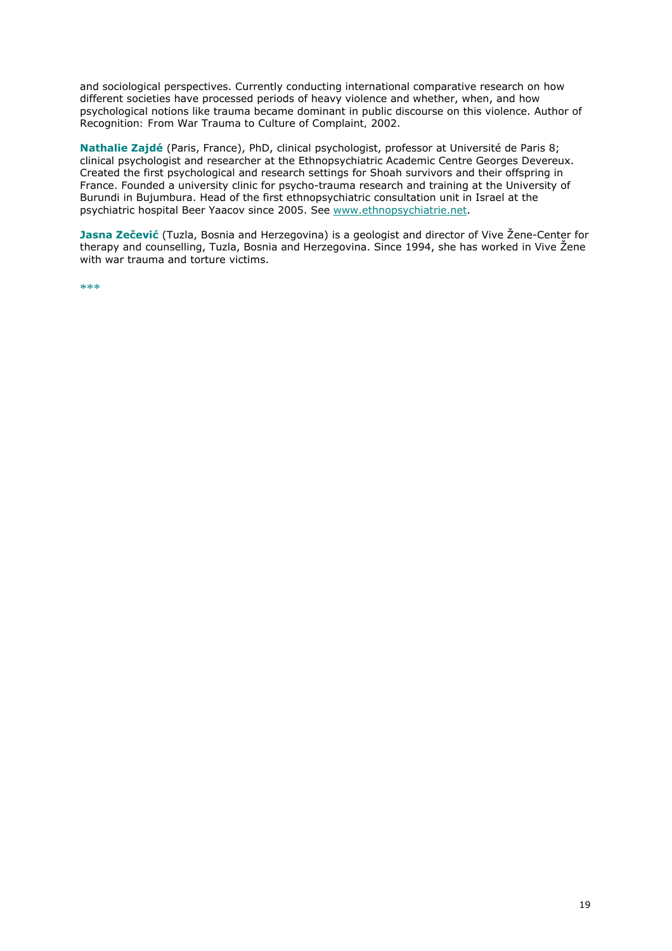and sociological perspectives. Currently conducting international comparative research on how different societies have processed periods of heavy violence and whether, when, and how psychological notions like trauma became dominant in public discourse on this violence. Author of R*ecognition: From War Trauma to Culture of Complaint,* 2002.

**Nathalie Zajdé** (Paris, France), PhD, clinical psychologist, professor at Université de Paris 8; clinical psychologist and researcher at the Ethnopsychiatric Academic Centre Georges Devereux. Created the first psychological and research settings for Shoah survivors and their offspring in France. Founded a university clinic for psycho-trauma research and training at the University of Burundi in Bujumbura. Head of the first ethnopsychiatric consultation unit in Israel at the psychiatric hospital Beer Yaacov since 2005. See [www.ethnopsychiatrie.net](http://www.ethnopsychiatrie.net/).

**Jasna Zečević** (Tuzla, Bosnia and Herzegovina) is a geologist and director of Vive Žene-Center for therapy and counselling, Tuzla, Bosnia and Herzegovina. Since 1994, she has worked in Vive Žene with war trauma and torture victims.

\*\*\*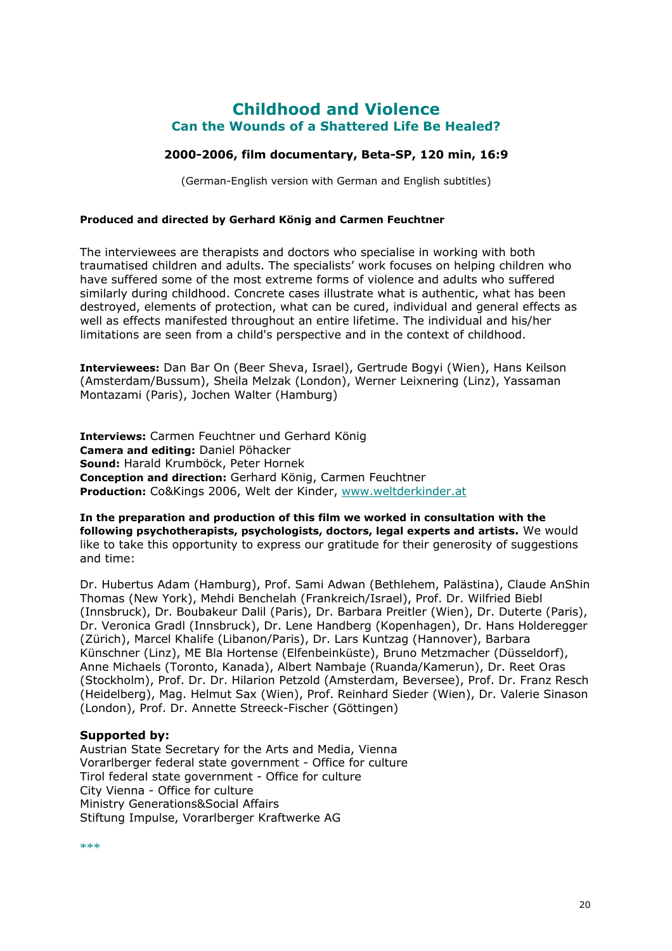## **Childhood and Violence Can the Wounds of a Shattered Life Be Healed?**

## **2000-2006, film documentary, Beta-SP, 120 min, 16:9**

(German-English version with German and English subtitles)

#### **Produced and directed by Gerhard König and Carmen Feuchtner**

The interviewees are therapists and doctors who specialise in working with both traumatised children and adults. The specialists' work focuses on helping children who have suffered some of the most extreme forms of violence and adults who suffered similarly during childhood. Concrete cases illustrate what is authentic, what has been destroyed, elements of protection, what can be cured, individual and general effects as well as effects manifested throughout an entire lifetime. The individual and his/her limitations are seen from a child's perspective and in the context of childhood.

**Interviewees:** Dan Bar On (Beer Sheva, Israel), Gertrude Bogyi (Wien), Hans Keilson (Amsterdam/Bussum), Sheila Melzak (London), Werner Leixnering (Linz), Yassaman Montazami (Paris), Jochen Walter (Hamburg)

**Interviews:** Carmen Feuchtner und Gerhard König **Camera and editing:** Daniel Pöhacker **Sound:** Harald Krumböck, Peter Hornek **Conception and direction:** Gerhard König, Carmen Feuchtner **Production:** Co&Kings 2006, Welt der Kinder, [www.weltderkinder.at](http://www.weltderkinder.at/)

**In the preparation and production of this film we worked in consultation with the following psychotherapists, psychologists, doctors, legal experts and artists.** We would like to take this opportunity to express our gratitude for their generosity of suggestions and time:

Dr. Hubertus Adam (Hamburg), Prof. Sami Adwan (Bethlehem, Palästina), Claude AnShin Thomas (New York), Mehdi Benchelah (Frankreich/Israel), Prof. Dr. Wilfried Biebl (Innsbruck), Dr. Boubakeur Dalil (Paris), Dr. Barbara Preitler (Wien), Dr. Duterte (Paris), Dr. Veronica Gradl (Innsbruck), Dr. Lene Handberg (Kopenhagen), Dr. Hans Holderegger (Zürich), Marcel Khalife (Libanon/Paris), Dr. Lars Kuntzag (Hannover), Barbara Künschner (Linz), ME Bla Hortense (Elfenbeinküste), Bruno Metzmacher (Düsseldorf), Anne Michaels (Toronto, Kanada), Albert Nambaje (Ruanda/Kamerun), Dr. Reet Oras (Stockholm), Prof. Dr. Dr. Hilarion Petzold (Amsterdam, Beversee), Prof. Dr. Franz Resch (Heidelberg), Mag. Helmut Sax (Wien), Prof. Reinhard Sieder (Wien), Dr. Valerie Sinason (London), Prof. Dr. Annette Streeck-Fischer (Göttingen)

## **Supported by:**

Austrian State Secretary for the Arts and Media, Vienna Vorarlberger federal state government - Office for culture Tirol federal state government - Office for culture City Vienna - Office for culture Ministry Generations&Social Affairs Stiftung Impulse, Vorarlberger Kraftwerke AG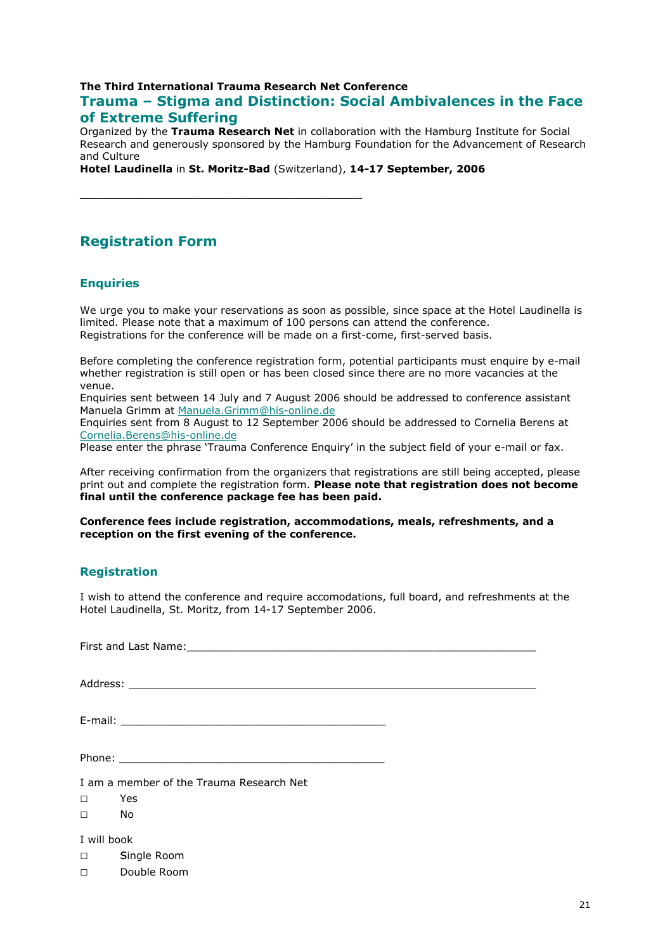## **The Third International Trauma Research Net Conference Trauma – Stigma and Distinction: Social Ambivalences in the Face of Extreme Suffering**

Organized by the **Trauma Research Net** in collaboration with the Hamburg Institute for Social Research and generously sponsored by the Hamburg Foundation for the Advancement of Research and Culture

**Hotel Laudinella** in **St. Moritz-Bad** (Switzerland), **14-17 September, 2006** 

**\_\_\_\_\_\_\_\_\_\_\_\_\_\_\_\_\_\_\_\_\_\_\_\_\_\_\_\_\_\_\_\_\_\_\_\_\_\_\_**

## **Registration Form**

## **Enquiries**

We urge you to make your reservations as soon as possible, since space at the Hotel Laudinella is limited. Please note that a maximum of 100 persons can attend the conference. Registrations for the conference will be made on a first-come, first-served basis.

Before completing the conference registration form, potential participants must enquire by e-mail whether registration is still open or has been closed since there are no more vacancies at the venue.

Enquiries sent between 14 July and 7 August 2006 should be addressed to conference assistant Manuela Grimm at [Manuela.Grimm@his-online.de](mailto:Manuela.Grimm@his-online.de)

Enquiries sent from 8 August to 12 September 2006 should be addressed to Cornelia Berens at [Cornelia.Berens@his-online.de](mailto:Cornelia.Berens@his-online.de)

Please enter the phrase 'Trauma Conference Enquiry' in the subject field of your e-mail or fax.

After receiving confirmation from the organizers that registrations are still being accepted, please print out and complete the registration form. **Please note that registration does not become final until the conference package fee has been paid.** 

**Conference fees include registration, accommodations, meals, refreshments, and a reception on the first evening of the conference.** 

## **Registration**

I wish to attend the conference and require accomodations, full board, and refreshments at the Hotel Laudinella, St. Moritz, from 14-17 September 2006.

|             | I am a member of the Trauma Research Net |  |  |  |
|-------------|------------------------------------------|--|--|--|
| $\Box$      | Yes                                      |  |  |  |
| $\Box$      | No                                       |  |  |  |
| I will book |                                          |  |  |  |
| $\Box$      | Single Room                              |  |  |  |
| $\Box$      | Double Room                              |  |  |  |
|             |                                          |  |  |  |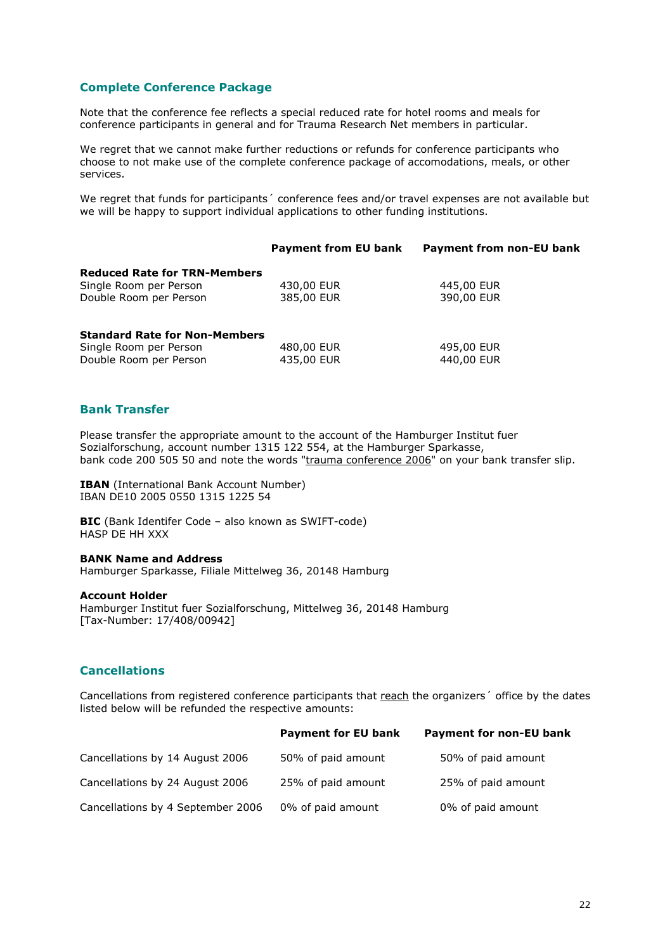### **Complete Conference Package**

Note that the conference fee reflects a special reduced rate for hotel rooms and meals for conference participants in general and for Trauma Research Net members in particular.

We regret that we cannot make further reductions or refunds for conference participants who choose to not make use of the complete conference package of accomodations, meals, or other services.

We regret that funds for participants' conference fees and/or travel expenses are not available but we will be happy to support individual applications to other funding institutions.

|                                                  | <b>Payment from EU bank</b> | <b>Payment from non-EU bank</b> |
|--------------------------------------------------|-----------------------------|---------------------------------|
| <b>Reduced Rate for TRN-Members</b>              |                             |                                 |
| Single Room per Person                           | 430,00 EUR                  | 445,00 EUR                      |
| Double Room per Person                           | 385,00 EUR                  | 390,00 EUR                      |
| <b>Standard Rate for Non-Members</b>             |                             |                                 |
| Single Room per Person<br>Double Room per Person | 480,00 EUR<br>435,00 EUR    | 495,00 EUR<br>440,00 EUR        |

#### **Bank Transfer**

Please transfer the appropriate amount to the account of the Hamburger Institut fuer Sozialforschung, account number 1315 122 554, at the Hamburger Sparkasse, bank code 200 505 50 and note the words "trauma conference 2006" on your bank transfer slip.

**IBAN** (International Bank Account Number) IBAN DE10 2005 0550 1315 1225 54

**BIC** (Bank Identifer Code – also known as SWIFT-code) HASP DE HH XXX

#### **BANK Name and Address**

Hamburger Sparkasse, Filiale Mittelweg 36, 20148 Hamburg

#### **Account Holder**

Hamburger Institut fuer Sozialforschung, Mittelweg 36, 20148 Hamburg [Tax-Number: 17/408/00942]

#### **Cancellations**

Cancellations from registered conference participants that reach the organizers' office by the dates listed below will be refunded the respective amounts:

|                                   | <b>Payment for EU bank</b> | <b>Payment for non-EU bank</b> |
|-----------------------------------|----------------------------|--------------------------------|
| Cancellations by 14 August 2006   | 50% of paid amount         | 50% of paid amount             |
| Cancellations by 24 August 2006   | 25% of paid amount         | 25% of paid amount             |
| Cancellations by 4 September 2006 | 0% of paid amount          | 0% of paid amount              |